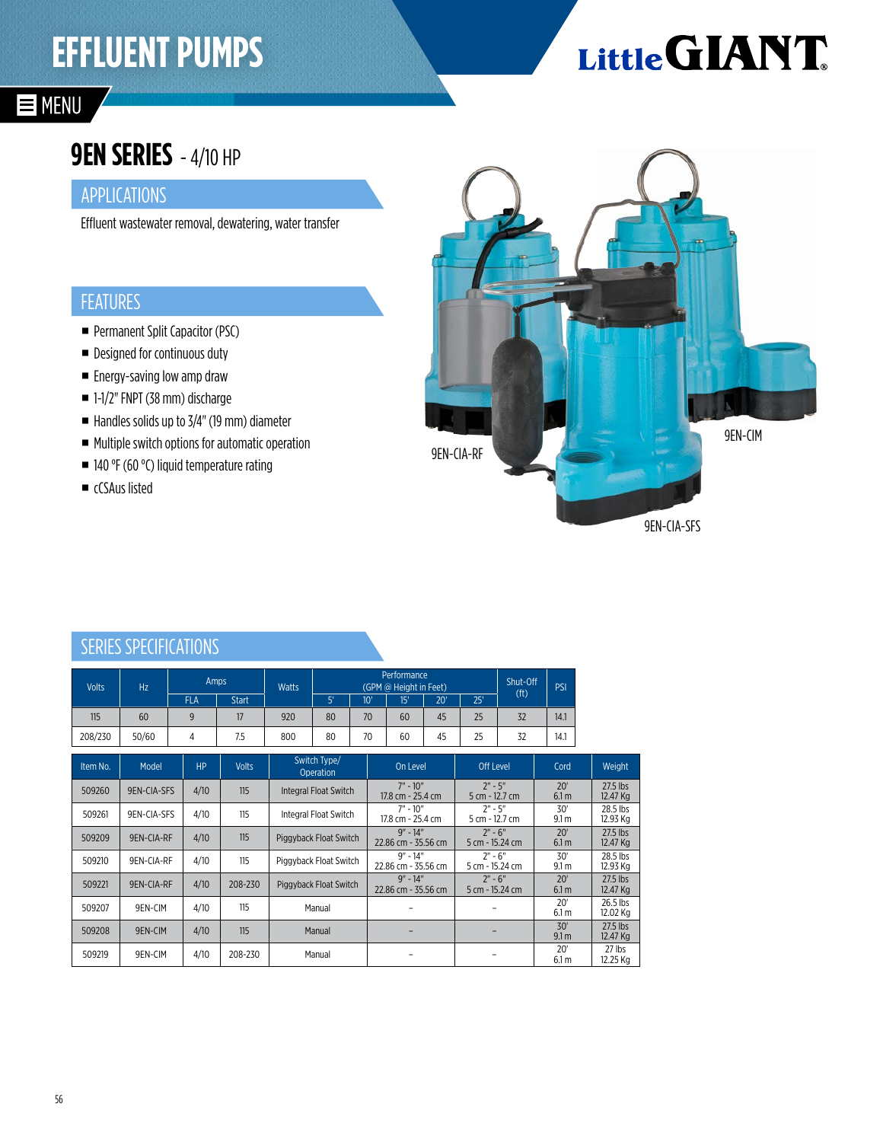## **EFFLUENT PUMPS**

# Little GIANT

### **E** MENU

### **9EN SERIES** - 4/10 HP

#### APPLICATIONS

Effluent wastewater removal, dewatering, water transfer

#### FEATURES

- **Permanent Split Capacitor (PSC)**
- Designed for continuous duty
- **Energy-saving low amp draw**
- 1-1/2" FNPT (38 mm) discharge
- $\blacksquare$  Handles solids up to 3/4" (19 mm) diameter
- Multiple switch options for automatic operation
- 140 °F (60 °C) liquid temperature rating
- cCSAus listed



#### SERIES SPECIFICATIONS

| <b>Volts</b> | Hz          | Amps           |              | <b>Watts</b>           | Performance<br>(GPM @ Height in Feet) |                                     |                                 |                              |                             |                         | Shut-Off                |                      | <b>PSI</b>           |  |
|--------------|-------------|----------------|--------------|------------------------|---------------------------------------|-------------------------------------|---------------------------------|------------------------------|-----------------------------|-------------------------|-------------------------|----------------------|----------------------|--|
|              |             | <b>FLA</b>     | <b>Start</b> |                        | 5'                                    |                                     | 10'                             | 15'                          | 20'                         | 25'                     | (f <sup>t</sup> )       |                      |                      |  |
| 115          | 60          | 9              | 17           | 920                    | 80                                    |                                     | 70                              | 60                           | 45                          | 25                      | 32                      | 14.1                 |                      |  |
| 208/230      | 50/60       | 4              | 7.5          | 800                    | 80                                    |                                     | 70                              | 60                           | 45                          | 25                      | 32                      | 14.1                 |                      |  |
| Item No.     | Model       | H <sub>P</sub> | <b>Volts</b> |                        | Switch Type/<br><b>Operation</b>      |                                     | On Level                        |                              | Off Level                   |                         | Cord                    |                      | Weight               |  |
| 509260       | 9EN-CIA-SFS | 4/10           | 115          |                        | Integral Float Switch                 |                                     | $7" - 10"$<br>17.8 cm - 25.4 cm |                              | $2" - 5"$<br>5 cm - 12.7 cm |                         | 20'<br>6.1 <sub>m</sub> |                      | 27.5 lbs<br>12.47 Kg |  |
| 509261       | 9EN-CIA-SFS | 4/10           | 115          |                        | Integral Float Switch                 |                                     | $7" - 10"$<br>17.8 cm - 25.4 cm |                              | $2" - 5"$<br>5 cm - 12.7 cm |                         | 30'                     | 9.1 <sub>m</sub>     | 28.5 lbs<br>12.93 Kg |  |
| 509209       | 9EN-CIA-RF  | 4/10           | 115          | Piggyback Float Switch |                                       | $9'' - 14''$<br>22.86 cm - 35.56 cm |                                 | $2" - 6"$<br>5 cm - 15.24 cm |                             | 20'                     | 6.1 <sub>m</sub>        | 27.5 lbs<br>12.47 Kg |                      |  |
| 509210       | 9EN-CIA-RF  | 4/10           | 115          | Piggyback Float Switch |                                       | $9'' - 14''$<br>22.86 cm - 35.56 cm |                                 | $2" - 6"$<br>5 cm - 15.24 cm |                             | 30'                     | 9.1 <sub>m</sub>        | 28.5 lbs<br>12.93 Kg |                      |  |
| 509221       | 9EN-CIA-RF  | 4/10           | 208-230      | Piggyback Float Switch |                                       | $9'' - 14''$<br>22.86 cm - 35.56 cm |                                 | $2" - 6"$<br>5 cm - 15.24 cm |                             | 20'<br>6.1 m            |                         | 27.5 lbs<br>12.47 Kg |                      |  |
| 509207       | 9EN-CIM     | 4/10           | 115          | Manual                 |                                       |                                     |                                 |                              |                             | 20'<br>6.1 m            |                         | 26.5 lbs<br>12.02 Kg |                      |  |
| 509208       | 9EN-CIM     | 4/10           | 115          | Manual                 |                                       |                                     |                                 |                              |                             | 30'<br>9.1 <sub>m</sub> |                         | 27.5 lbs<br>12.47 Kg |                      |  |
| 509219       | 9EN-CIM     | 4/10           | 208-230      | Manual                 |                                       |                                     |                                 |                              |                             | 20'<br>6.1 m            |                         | 27 lbs<br>12.25 Kg   |                      |  |